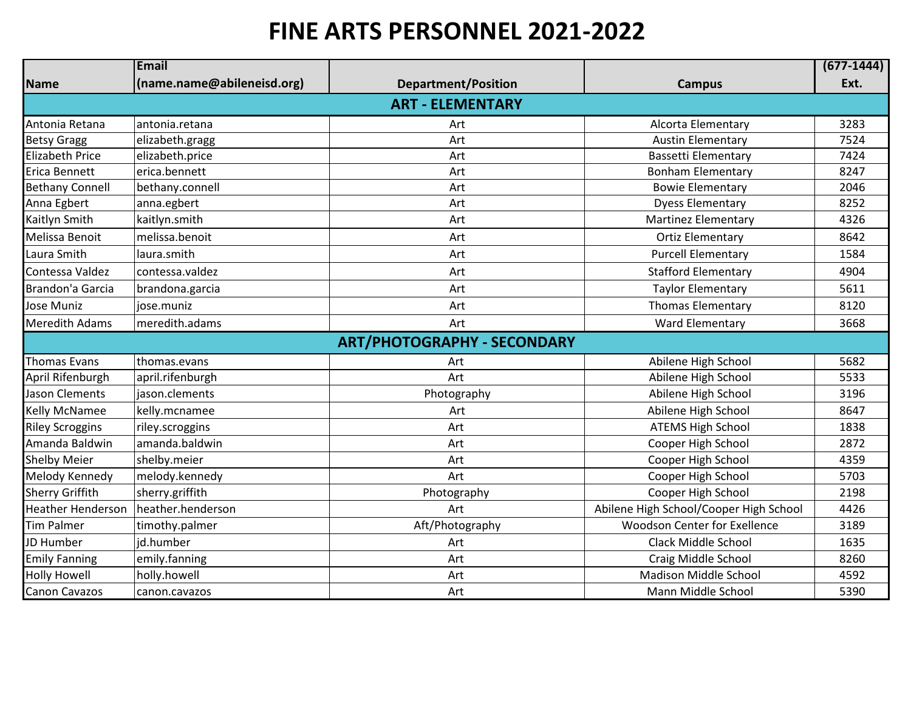## **FINE ARTS PERSONNEL 2021-2022**

|                          | Email                      |                                    |                                        | $(677-1444)$ |  |  |  |
|--------------------------|----------------------------|------------------------------------|----------------------------------------|--------------|--|--|--|
| <b>Name</b>              | (name.name@abileneisd.org) | <b>Department/Position</b>         | <b>Campus</b>                          | Ext.         |  |  |  |
| <b>ART - ELEMENTARY</b>  |                            |                                    |                                        |              |  |  |  |
| Antonia Retana           | antonia.retana             | Art                                | Alcorta Elementary                     | 3283         |  |  |  |
| <b>Betsy Gragg</b>       | elizabeth.gragg            | Art                                | <b>Austin Elementary</b>               | 7524         |  |  |  |
| Elizabeth Price          | elizabeth.price            | Art                                | <b>Bassetti Elementary</b>             | 7424         |  |  |  |
| Erica Bennett            | erica.bennett              | Art                                | <b>Bonham Elementary</b>               | 8247         |  |  |  |
| <b>Bethany Connell</b>   | bethany.connell            | Art                                | <b>Bowie Elementary</b>                | 2046         |  |  |  |
| Anna Egbert              | anna.egbert                | Art                                | <b>Dyess Elementary</b>                | 8252         |  |  |  |
| Kaitlyn Smith            | kaitlyn.smith              | Art                                | <b>Martinez Elementary</b>             | 4326         |  |  |  |
| Melissa Benoit           | melissa.benoit             | Art                                | <b>Ortiz Elementary</b>                | 8642         |  |  |  |
| Laura Smith              | laura.smith                | Art                                | <b>Purcell Elementary</b>              | 1584         |  |  |  |
| Contessa Valdez          | contessa.valdez            | Art                                | <b>Stafford Elementary</b>             | 4904         |  |  |  |
| Brandon'a Garcia         | brandona.garcia            | Art                                | <b>Taylor Elementary</b>               | 5611         |  |  |  |
| Jose Muniz               | jose.muniz                 | Art                                | <b>Thomas Elementary</b>               | 8120         |  |  |  |
| <b>Meredith Adams</b>    | meredith.adams             | Art                                | <b>Ward Elementary</b>                 | 3668         |  |  |  |
|                          |                            | <b>ART/PHOTOGRAPHY - SECONDARY</b> |                                        |              |  |  |  |
| <b>Thomas Evans</b>      | thomas.evans               | Art                                | Abilene High School                    | 5682         |  |  |  |
| April Rifenburgh         | april.rifenburgh           | Art                                | Abilene High School                    | 5533         |  |  |  |
| Jason Clements           | jason.clements             | Photography                        | Abilene High School                    | 3196         |  |  |  |
| <b>Kelly McNamee</b>     | kelly.mcnamee              | Art                                | Abilene High School                    | 8647         |  |  |  |
| <b>Riley Scroggins</b>   | riley.scroggins            | Art                                | <b>ATEMS High School</b>               | 1838         |  |  |  |
| Amanda Baldwin           | lamanda.baldwin            | Art                                | Cooper High School                     | 2872         |  |  |  |
| <b>Shelby Meier</b>      | shelby.meier               | Art                                | Cooper High School                     | 4359         |  |  |  |
| Melody Kennedy           | melody.kennedy             | Art                                | Cooper High School                     | 5703         |  |  |  |
| <b>Sherry Griffith</b>   | sherry.griffith            | Photography                        | Cooper High School                     | 2198         |  |  |  |
| <b>Heather Henderson</b> | heather.henderson          | Art                                | Abilene High School/Cooper High School | 4426         |  |  |  |
| <b>Tim Palmer</b>        | timothy.palmer             | Aft/Photography                    | <b>Woodson Center for Exellence</b>    | 3189         |  |  |  |
| JD Humber                | jd.humber                  | Art                                | Clack Middle School                    | 1635         |  |  |  |
| <b>Emily Fanning</b>     | emily.fanning              | Art                                | Craig Middle School                    | 8260         |  |  |  |
| <b>Holly Howell</b>      | holly.howell               | Art                                | <b>Madison Middle School</b>           | 4592         |  |  |  |
| Canon Cavazos            | canon.cavazos              | Art                                | Mann Middle School                     | 5390         |  |  |  |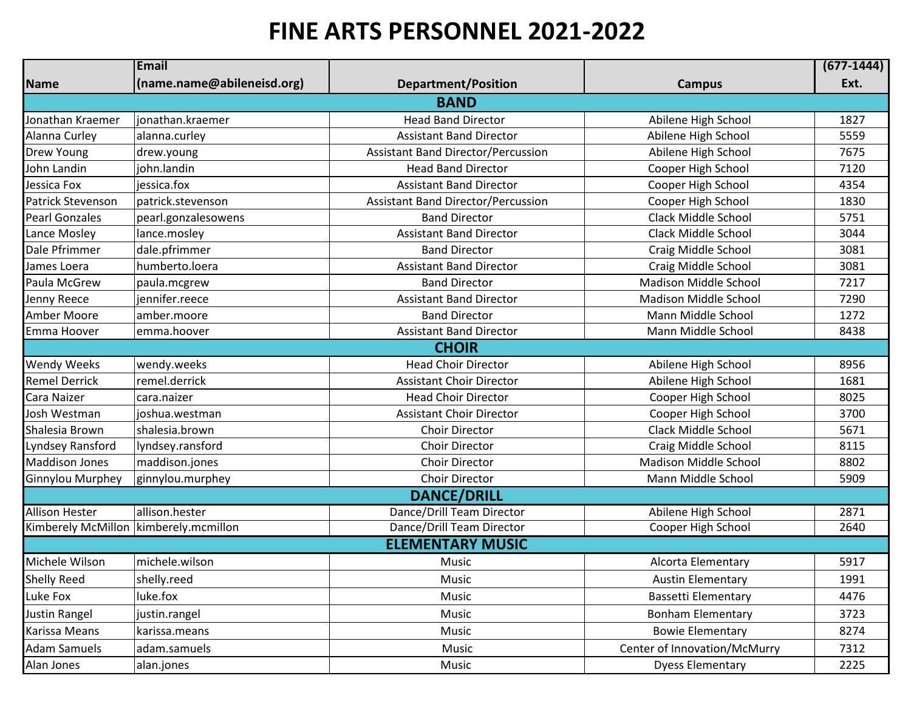## **FINE ARTS PERSONNEL 2021-2022**

|                       | Email                      |                                           |                              | $(677-1444)$ |  |  |  |
|-----------------------|----------------------------|-------------------------------------------|------------------------------|--------------|--|--|--|
| Name                  | (name.name@abileneisd.org) | <b>Department/Position</b>                | <b>Campus</b>                | Ext.         |  |  |  |
| <b>BAND</b>           |                            |                                           |                              |              |  |  |  |
| Jonathan Kraemer      | jonathan.kraemer           | <b>Head Band Director</b>                 | Abilene High School          | 1827         |  |  |  |
| Alanna Curley         | alanna.curley              | <b>Assistant Band Director</b>            | Abilene High School          | 5559         |  |  |  |
| Drew Young            | drew.young                 | <b>Assistant Band Director/Percussion</b> | Abilene High School          | 7675         |  |  |  |
| John Landin           | john.landin                | <b>Head Band Director</b>                 | Cooper High School           | 7120         |  |  |  |
| Jessica Fox           | jessica.fox                | <b>Assistant Band Director</b>            | Cooper High School           | 4354         |  |  |  |
| Patrick Stevenson     | patrick.stevenson          | <b>Assistant Band Director/Percussion</b> | Cooper High School           | 1830         |  |  |  |
| <b>Pearl Gonzales</b> | pearl.gonzalesowens        | <b>Band Director</b>                      | <b>Clack Middle School</b>   | 5751         |  |  |  |
| Lance Mosley          | lance.mosley               | <b>Assistant Band Director</b>            | Clack Middle School          | 3044         |  |  |  |
| Dale Pfrimmer         | dale.pfrimmer              | <b>Band Director</b>                      | Craig Middle School          | 3081         |  |  |  |
| James Loera           | humberto.loera             | <b>Assistant Band Director</b>            | Craig Middle School          | 3081         |  |  |  |
| Paula McGrew          | paula.mcgrew               | <b>Band Director</b>                      | <b>Madison Middle School</b> | 7217         |  |  |  |
| Jenny Reece           | jennifer.reece             | <b>Assistant Band Director</b>            | <b>Madison Middle School</b> | 7290         |  |  |  |
| Amber Moore           | amber.moore                | <b>Band Director</b>                      | Mann Middle School           | 1272         |  |  |  |
| Emma Hoover           | emma.hoover                | <b>Assistant Band Director</b>            | Mann Middle School           | 8438         |  |  |  |
|                       |                            | <b>CHOIR</b>                              |                              |              |  |  |  |
| <b>Wendy Weeks</b>    | wendy.weeks                | <b>Head Choir Director</b>                | Abilene High School          | 8956         |  |  |  |
| <b>Remel Derrick</b>  | remel.derrick              | <b>Assistant Choir Director</b>           | Abilene High School          | 1681         |  |  |  |
| Cara Naizer           | cara.naizer                | <b>Head Choir Director</b>                | Cooper High School           | 8025         |  |  |  |
| Josh Westman          | joshua.westman             | <b>Assistant Choir Director</b>           | Cooper High School           | 3700         |  |  |  |
| Shalesia Brown        | shalesia.brown             | Choir Director                            | Clack Middle School          | 5671         |  |  |  |
| Lyndsey Ransford      | lyndsey.ransford           | Choir Director                            | Craig Middle School          | 8115         |  |  |  |
| <b>Maddison Jones</b> | maddison.jones             | Choir Director                            | <b>Madison Middle School</b> | 8802         |  |  |  |
| Ginnylou Murphey      | ginnylou.murphey           | Choir Director                            | Mann Middle School           | 5909         |  |  |  |
|                       |                            | <b>DANCE/DRILL</b>                        |                              |              |  |  |  |
| <b>Allison Hester</b> | allison.hester             | Dance/Drill Team Director                 | Abilene High School          | 2871         |  |  |  |
| Kimberely McMillon    | kimberely.mcmillon         | Dance/Drill Team Director                 | Cooper High School           | 2640         |  |  |  |
|                       |                            | <b>ELEMENTARY MUSIC</b>                   |                              |              |  |  |  |
| Michele Wilson        | michele.wilson             | Music                                     | Alcorta Elementary           | 5917         |  |  |  |
| <b>Shelly Reed</b>    | shelly.reed                | Music                                     | <b>Austin Elementary</b>     | 1991         |  |  |  |
| Luke Fox              | luke.fox                   | Music                                     | <b>Bassetti Elementary</b>   | 4476         |  |  |  |
| <b>Justin Rangel</b>  | justin.rangel              | Music                                     | <b>Bonham Elementary</b>     | 3723         |  |  |  |
| Karissa Means         | karissa.means              | Music                                     | <b>Bowie Elementary</b>      | 8274         |  |  |  |
| <b>Adam Samuels</b>   | adam.samuels               | Music                                     | Center of Innovation/McMurry | 7312         |  |  |  |
| Alan Jones            | alan.jones                 | Music                                     | <b>Dyess Elementary</b>      | 2225         |  |  |  |